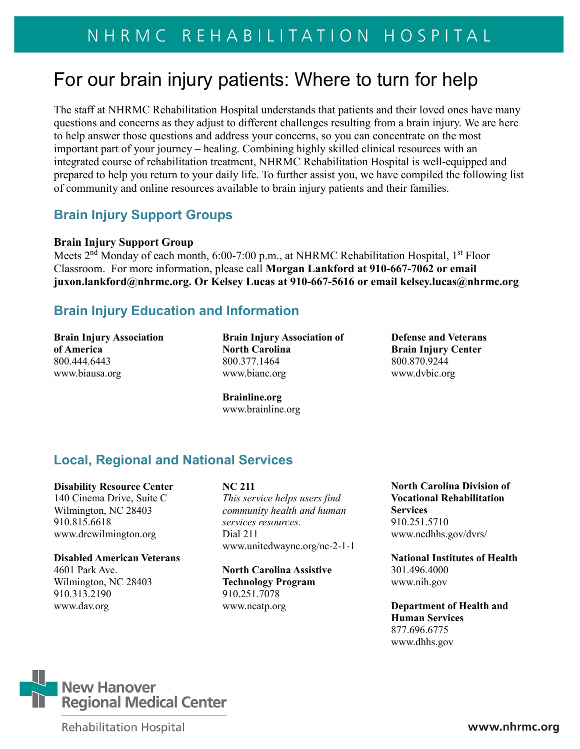# For our brain injury patients: Where to turn for help

The staff at NHRMC Rehabilitation Hospital understands that patients and their loved ones have many questions and concerns as they adjust to different challenges resulting from a brain injury. We are here to help answer those questions and address your concerns, so you can concentrate on the most important part of your journey – healing. Combining highly skilled clinical resources with an integrated course of rehabilitation treatment, NHRMC Rehabilitation Hospital is well-equipped and prepared to help you return to your daily life. To further assist you, we have compiled the following list of community and online resources available to brain injury patients and their families.

## **Brain Injury Support Groups**

#### **Brain Injury Support Group**

Meets 2<sup>nd</sup> Monday of each month, 6:00-7:00 p.m., at NHRMC Rehabilitation Hospital, 1<sup>st</sup> Floor Classroom. For more information, please call **Morgan Lankford at 910-667-7062 or email [juxon.lankford@nhrmc.org.](mailto:juxon.lankford@nhrmc.org) Or Kelsey Lucas at 910-667-5616 or email kelsey.lucas@nhrmc.org**

## **Brain Injury Education and Information**

**Brain Injury Association of America**  800.444.6443 [www.biausa.org](http://www.biausa.org/)

**Brain Injury Association of North Carolina**  800.377.1464 [www.bianc.org](http://www.bianc.org/) 

**Defense and Veterans Brain Injury Center**  800.870.9244 [www.dvbic.org](http://www.dvbic.org/) 

**Brainline.org**  [www.brainline.org](http://www.brainline.org/)

# **Local, Regional and National Services**

**Disability Resource Center**

140 Cinema Drive, Suite C Wilmington, NC 28403 910.815.6618 www.drcwilmington.org

#### **Disabled American Veterans**

4601 Park Ave. Wilmington, NC 28403 910.313.2190 [www.dav.org](http://www.dav.org/)

#### **NC 211**

*This service helps users find community health and human services resources.* Dial 211 [www.unitedwaync.org/nc-2-1-1](http://www.unitedwaync.org/nc-2-1-1)

**North Carolina Assistive Technology Program** 910.251.7078 [www.ncatp.org](http://www.ncatp.org/)

**North Carolina Division of Vocational Rehabilitation Services** 910.251.5710 www.ncdhhs.gov/dvrs/

**National Institutes of Health** 301.496.4000 [www.nih.gov](http://www.nih.gov/)

**Department of Health and Human Services** 877.696.6775 www.dhhs.gov



**Rehabilitation Hospital**